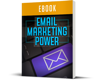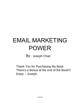# EMAIL MARKETING POWER

By : Joseph Chait

Thank You for Purchasing My Book There's a Bonus at the end of the Book!!! Enjoy ~ Joseph.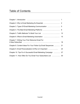## Table of Contents

| Chapter 7. Writing Your First Welcome Email For                 |  |
|-----------------------------------------------------------------|--|
| Chapter 8. Content Ideas For Your Follow Up Email Sequences  21 |  |
|                                                                 |  |
| Chapter 10. Tips For A Successful Email Marketing Campaign  27  |  |
| Chapter 11. How Often Do You Email Your Subscribers List  30    |  |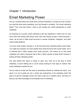### Chapter 1. Introduction

# Email Marketing Power

Are you confused about the whole idea of Email marketing? I'm pretty sure the moment you read the word email marketing, your first thought is probably, "isn't email marketing dead?" This is the part where I come in and change your whole perspective on email marketing.

As shocking as it sounds, email marketing is still very significant in 2020, and it is very much alive and kicking with almost every web user having at least 2 email accounts. I mean, we all had to make email accounts to access Facebook, Instagram, and other social media platforms.

You know what another shocker is, is the fact that email marketing beats social media. You might be surprised, but more people have email accounts than social media, and it is believed that 4 billion people have email accounts. The reason as to why email marketing isn't dead is because half of that 4 billion spends at least 50-60 minutes in looking at these marketing emails.

The idea behind this report is simply to open your mind up to the idea of email marketing. If you're feeling lost or you're simply looking for new ways to market, then email marketing is perfect for you.

All you need is to take the first step by developing interest by reading this report. Just leave it on me to guide you into a whole new perspective in the marketing world. My goal is to get the message across and hope to get you to expand, grow, and learn so that you can take advantage of this beautiful form of marketing.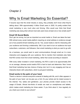# Why Is Email Marketing So Essential?

If anyone says that the email industry is dying, they probably don't know what they're talking about. With approximately 4 billion Email users in 2020, it's pretty evident that email marketing is very much alive and thriving. Who would ever think that Email marketing was dying when almost most web users have at least one or two emails each?

### **Email VS Social Media**

Don't get me wrong, but just as important as social media is, Email use takes the lead.<br>With almost every social media platform requiring an email address is evidence enough as to how powerful Email marketing can be. Yes, social media is vital for interacting with your audience and forming a relationship. Still, if you want to turn an audience into loyal subscribers, customers, and followers, then email marketing is what you want to go with.

As a business, you would want to send communications through email as it is more interactive and engaging with your audience. Not to mention that marketers also feels that ROI comes more from email marketing, rather than social according to research.

With every dollar invested in email marketing, the ROI is said to be approximately \$44 on an average, whereas social media's ROI is hard to track and determine. Now I know that Email marketing has less chance of being viral, but it is very engaging and has an interactive factor with subscribers, which is just good marketing.

### **Email works In the palm of your hand**

There's a device in almost everyone's arsenal of dealing with life, and it often appears in the palm of your hand. Let me give you a hint; it's your whole and its instant access to the internet. Yes, ladies and gentlemen, your phones provide instant access to the usage of Emails. Almost two-thirds of emails are read on smartphones and tablets, which makes email marketing ten times easier. If you think about it, how regularly do you check your email on your phone?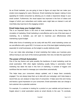As an Email marketer, you are going to have to figure out ways that can make your emails more engaging for users. Moreover, Email marketing has leaped, making it more appealing for mobile consumers by allowing you to create a responsive design in your email content. Furthermore, the visual aspect has improved in the form of videos and images of which your subscribers and mobile users might take an interest in and will most likely stay loyal due to the engaging content.

### **Email helps keep your budget inline**

This is an important factor in the mind of most marketers as the money keeps the circulation of marketing. Email marketing is cost-effective and is one of the best ways of marketing. As a marketer, you will want to maximize your effectiveness while maintaining a good budget.

While other forms of marketing can be costly with less ROI, email marketing comes out as cost-effective with a good ROI. It is known as one of the best digital marketing tactics, especially for small businesses, as the budget is usually relatively small.

If you can make take advantage of email marketing that makes your business grow without having to use much of the revenue generated, then why not take the opportunity?

### **The power of Email Automation**

One of the key factors and quite possibly the backbone of email marketing could be email automation. With other digital marketing usually failing in automation, Email marketing has taken the lead in this form of marketing. It consists of triggers and workflows that are meant to message your subscribers automatically.

This helps keep your consumers always updated, and it keeps them constantly engaged. You can always keep them up to date with your campaign, and it also keeps a record that you can analyze to keep track of consumers. It helps save time and money and leaves a good impression on your consumers. Email automation also can change a lost customer into a potential customer.

For example, if a customer is looking for a product on your website and just leaves or forgets about it, email automation sends an email directly to the user. To conclude,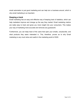email automation is just good marketing and can help turn a business around, which is why email marketing is so important.

### **Keeping a track**

Email marketing has an easy and effective way of keeping track of statistics, which can help marketers improve and change up the way they market. Email marketing metrics are really easy to track and gives you more insight into your consumers. This makes your way of marketing more accurate and removes any guesswork.

Furthermore, you can keep track of the users that open your emails, unsubscribe, and what products they seem interested in. This, therefore, proves as to why Email marketing is very much alive and useful in the marketing world of 2020.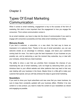# Types Of Email Marketing **Communication**

When it comes to email marketing, engagement is key to the success of the form of marketing. But what is more important than the engagement is how you engage the consumers. This is where communication comes in.

As an email marketer, you have to step into the shoes of communication if you want to engage with consumers successfully and fully utilize email marketing to the fullest.

### **Welcome Emails**

If you land a customer, a subscriber, or a new client, the best way to leave an impression is to welcome them. Thanks to the use of email automation, you can use welcome emails as an advantage to embrace, engage, and leave your customers coming back for more. You want to give the best impression of your business as you possibly can, and by welcoming a user the moment they subscribe, buy or deal with your company, shows that you mean business.

The ability to show a user that you prioritize them increases the chances of you maximizing the use of email marketing. Let's not forget by welcoming them; you can introduce them to your official website and other platforms that may lead to that very user dealing with your business in the future. Maybe throw in a little gift to make your customer feel special, and you will fully embrace the steps to good email marketing.

#### **Newsletters**

If you want to show your loyal subscribers and new ones that you mean business, be sure to keep them constantly updated with your business affairs. Whether it be new content or a new product, you need to make the content of your newsletters as vibrant and engaging as possible.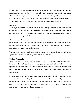All you need to fulfill engagement is to be consistent with a good schedule, and you will need to be innovative in the way you play with your newsletter compliment. Making use of email automation, the power of newsletters can be impactful, just be sure not to bore your customers. Try to entertain and keep the audience hooked with your newsletters; you don't want to make everything about your business look like a sales pitch.

### **Updates**

As a loyal customer, you would want to keep being updated about your favorite company or brand. Step into the shoes of a loyal customer and understand their needs and wants, and if you want to be accurate about it, you can always research and use email metrics to keep track of users.

The basic idea of updates is to keep your customers informed of how your business is doing, what's new, and how you are constantly trying to improve your business. By updating your loyal customer, it leaves a good impression, and it keeps them motivated and enticed to support your business more.

You can always improve updates by adding visuals and being consistent with adding an appeal that will keep users looking forward to more updates.

### **Selling Products**

When it comes to the selling aspect, you are going to want to keep things interesting. Keep up with what's trending and reflect your content and selling strategy with the updated trends. Remember to send automated messages to previous customers and new customers that are similar to the products that they usually buy or something that they may like.

By using your email metrics, you can determine what sales will suit a certain customer who is just brilliant marketing. Be sure to add a spark to the way you sell your products by adding vibrant color, a catchy phrase, and leave them asking for more with a touch of emotion, personalization, or even a free product. This way, you create a form of trust and increase your chances of bagging customers.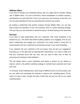### **Affiliate Offers**

If you want to broaden your marketing avenue, then you might want to consider making use of affiliate offers. You kind of become a brand ambassador of another company, and therefore you work with them. Even if you have your own business on the side, you can do email marketing for them by promoting their products and content.

By building a relationship with another company through affiliate offers, you can also help increase the reputation of your own business, which is a great marketing strategy. This can help your own business to expand and grow, all while earning at the same time.

### **Surveys**

If you want to build relationships with your customers, then email marketing is the solution for you. The whole idea behind building relations is by engaging. How do you build a relationship and engage your customers? You simply create a 2-way form of communication with your customers by introducing surveys in your email marketing.

If you regularly ask your customers to fill out surveys, they can give you suggestions and keep you on the right track by following their requirements. You need to make sure that your customers know that you care, and you want to take care of them by improving and checking on their feedback.

This will always leave a good impression and leaves a chance for you always to improve, which is the perfect marketing strategy to maintain loyal customers and invite new ones.

To conclude, email marketing has a wide range of different forms of communication and you can utilize and manipulate the diversity to improve your marketing game. All you need is to have a clear concept and idea of what they are and you will up your email marketing game.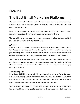# The Best Email Marketing Platforms

The best platforms lead to the best outcome when it comes to email marketing. However, when I use the word best, I refer to choosing the best platform that suits your email marketing strategy.

Once you manage to figure out the best-budgeted platform that can meet your email marketing expectations, it may majorly impact your company positively.

The whole idea is to make sure that you set your eyes on the best platforms and that you eventually select the perfect platform for you.

### **AWeber**

If you're looking for an email platform that suits small businesses and entrepreneurs, then Aweber is the perfect one for you. It's a platform solely meant for those who are just starting up, and it exists to make it easier for you to divide your customers into different requirements of which they create emails distinctly meant for each element.

They have an excellent team that is continuously monitoring their servers and making sure that they complete your work on time, to keep your campaign consistent. AWeber offers six plans that range from \$19-\$149/ month. If you'd like, you could also pay quarterly or annually.

### **Active Campaign**

If live chat and CRM is what you're looking for, then look no farther as Active Campaign is a perfect marketing platform with various email marketing capabilities. The platform works in the process of segmenting your customers, and it also uses CRM to help you reach your leads more frequently, which can help you get to the top.

There is also the introduction of dynamic information provided by the Active Campaign that is divided to meet the specific requirements of your customers. Each time your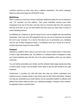customer receives an email, they have a different experience. The active campaign offers four plans that range from \$15-\$279/ month.

### **MailChimp**

When it comes to a tool that is known worldwide, MailChimp takes the win as customers over 175 countries use this platform. Their email marketing services have been recognized to be one of the best, and they have an immense data from the customers that they work with, so you can best believe that they have your back when it comes to email marketing services.

It's effortless for a beginner to get the hang of and is just as tangible with big marketing enterprises. They have over 300 integrations that you can use to improvise and recreate the tool to your business. It's a service that allows you to personalize your marketing with the use of these integrations freely. It is definitely worth your money as it has six monthly plans that range from free to \$299.

### **Hubspot**

Hubspot is a platform that is easy to use and is free, not to mention that it is well known to have a high deliverability rate. The platform is a software which is designed to make your email marketing easy with the use of its various templates, which you can always customize.

You can further personalize your emails, and the software helps target people according to device types, country, and list-based, which helps to get the right emails to the right recipients.

Furthermore, it provides you with A/B tests that help you further understand your audience as you compare emails to see which ones do best. More importantly, Hubspot can help you understand your email metrics, and its automation platform is effective and efficient that further helps you plan your marketing strategies. Hubspot is free; however, its upgrades require a payment plan.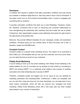### **Omnisend**

A marketer that requires a platform that offers automation workflows that suits almost any marketer in whatever stage they're in, then they need to have a look at Omnisend. It has great control over its Omni-channel functionalities when it comes to engaging and connecting with an audience.

It provides automation workflows that allow you to add WhatsApp, Facebook, emails, etc. therefore, omniscient tries to work on improving your customer relationships by even strengthening the relationship with customers that don't prefer the use of emails. Furthermore, their segmentation program works effectively that sends the right email to the right person at the perfect time.

Moreover, they provide different templates for your campaigns, emails, and automation workflows. Omnisend gives you four monthly plans of which the basic one is free. It, therefore, ranges from \$0-\$99/month.

### **Constant Contact**

Constant contact is a popular email marketing service. The reason it's so prominent is that it offers you 100 templates that you can use and customize, and once you're done, you can select the time to send it to your customers.

### **Pabbly Email Marketing**

If you're looking to bulk up on the email marketing, then Pabbly Email marketing is the perfect platform for you as it provides you by sending out bulk emails by connecting to SMTP and external SMTP. It is a balanced email platform that consists of workflow automation and email scheduling due to access to SMTP.

Therefore, scheduled emails and triggers are not an issue as you are assisted by marketing automation and autoresponders. Furthermore, it offers you templates that you can edit with a drag and drop tool, but most importantly, you can keep track of your email metrics consistently, which will help you improve your campaign and email marketing. Pabbly Email Marketing comes with a free basic plan and other multiple plans based on your number of subscribers.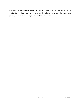Delivering the variety of platforms, the reports initiative is to help you further decide what platform will work best for you as an email marketer. I have listed the best to help you in your cause of becoming a successful email marketer.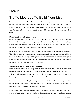# Traffic Methods To Build Your List

When it comes to email marketing, a marketer always focuses on their list as it decreases every year. Your contacts can always move from one company to another, which is why, as a marketer, you need to learn and figure out what traffic methods suit you. The goal is to increase and maintain your list to keep up with the Email marketing world.

### **Be innovative with your content**

As an email marketer, you constantly have to focus on your content. Always remember that content will always remain, king if you're targeting an audience. If you want to keep a constant and increasing number of followers, you need to make sure that you stay up to date with your content and make it as relatable as possible.

Make sure that it is engaging, and it meets the requirements of your target audience. The ability to entertain through content instantaneously leads to a well-maintained list of followers that will eventually start to grow. Good quality content in the form of blogs or vlogs can somewhat lead people to find your website, and you can always remind them to subscribe and support you within your content.

### **Always partner with other influencers**

Every marketer knows that if they want to be successful, they need to expand their marketing base. A perfect way to extend your email marketing reach is if you team up with other influencers and marketers. By working with other people, you are bound to leave a good impression on new followers and your old ones.

Influencers are always willing to share good content with their followers as it gives off an interactive feel. The idea is to provide content that is unique and different or reflective of the usual, except it puts the original work to shame.

If you share content with influencers that fall in line with this basis, then you have a high chance of getting them to share further and support your content. It is always a good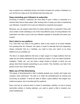way to expand your marketing horizon and further increase the number of followers on your list that can make up for the followers that have been lost.

### **Keep reminding your followers to subscribe**

According to research, customers are more likely to give a follow or subscribe to a channel when they've been asked. After working hard on trying your best to entertaining your followers, it wouldn't hurt to ask your followers to subscribe and support.

Moreover, you can always entice them by simply asking them to subscribe if they want more content. Email marketing is one of the most effective ways of turning followers into subscribers; the idea is just to ask your followers regularly to subscribe and share your content.

### **Don't stick to one platform**

It is a fact that if you stick to one platform, there is less chance of an email marketer from growing their list. However, this report is meant to alternate that from happening. Always remember that as a marketer, you need to have your reach on as many platforms as you possibly can.

The idea is to target platforms that have a major supply of a target audience that can relate and are further entertained by the content you deliver. If you can utilize Facebook, Instagram, Twitter, etc., you can reach a large number of people, of which you can always direct them towards subscribing to your content. This, therefore, can help in the growth of your list in email marketing.

### **Make use of Paid Advertising**

The beauty of Advertisements is that it instantly spreads your content, and it gets your company name well-known. The idea is to make the advertisements as enticing and convincing as possible. It would be ideal to select a good platform that targets your audience properly, and it coincides with the audience.

Every cost has an outcome when it comes to subscribers, whether it is due to buying well-written articles or hosting webinars, you need to spend a little to maintain your email marketing list.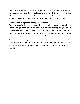Therefore, with the use of paid advertisements with a low initial cost per subscriber, then you may be successful in both increasing and maintain the growth of your list. Make use of analysis on the Ads that do well with your audience and make sure the content of your Ads is of good quality, and you're sure to be golden with your list.

### **Make subscribing worth it for your followers**

Whenever you offer the option of subscribing to your follower, be sure to make it free, offer a small gift, or maybe provide them with a discount. By doing this, you make it worthwhile for your followers to subscribe, and as a bonus, if they like your content, you turn a potential customer to a loyal customer. By using this method, you gain the ability to improve the growth of your list as an email marketer.

Who doesn't need a little guidance here and there? When you deal with a business-like Email marketing, you will want to improve and learn as many methods as you can.By learning these methods, you allow yourself to both maintain and increase the number in your list.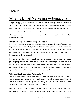# What Is Email Marketing Automation?

Are you struggling to understand the concept of email marketing? Then look no further as I am about to simplify the concept behind the idea ofemail marketing. As much as email automation isn't the full structure behind email marketing, it is the backbone of the way you are going to perform email marketing.

This report is meant to guide you and give you an idea of what exactly email automation is and how it's used.

### **Understanding Email Marketing Automation**

Do you ever experience receiving a welcome email when you join a specific platform or buy from a certain website? If you have, then that is the perfect way of describing the concept of Email marketing automation. In the Email marketing world, the use of automation is on a massive scale, and the ideal behind its use is that it is effective, and it keeps your audience engaged.

Now we all know that if you manually work on composing emails for every new user, you are going to waste a lot of time; this is where email marketing automation comes in handy. The fact that you save time and keep users engaged in the beauty behind email automation. All you have to do is compose a specific email and set up an automation system that utilizes a trigger each time an email is needed to be sent.

### **Why use Email Marketing Automation?**

The basic idea of email marketing automation is formulated around the idea of turning your prospects into customers. How exactly does it maintain this conversion? When it comes to automation, you are granted the ability to segment your customers, which allows you to send the right email to the right customer.

Moreover, emails are sent at the perfect time, and the moment that the required email meets the right customer. This unanimously continuously maintains engagement with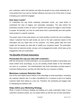your customers, which will maintain and allow the growth of your email marketing list. It is the perfect tool if you want to maintain efficiency and save a lot of time when it comes to keeping your customers engaged.

### **How does it work?**

To understand the way Email marketing automation works, you need further to understand the idea of triggers and automated campaigns. The idea behind the automation process is when an event or specific time causes the trigger to send Emails to people. So basically, you form an email series that is automatically sent with specific email content to a specific customer.

The proper name of the email series is an email workflow of which the use of workflows makes it adamant that the right emails are sent to the right customers based on the information that you might have on the customer. You further gather data and more insight into the people you deal with to solidify your company's leads. The automation flows send outwelcome emails, surveys, and re-engagement emails, which keep up the engagement with your subscribers.

### **The Benefits Of Email Automation**

### **Personalize the way you deal with customers**

With the introduction of email automation, you are granted the ability to personalize your email content more accordingly, as you are sending emails based on the information you have on a customer. The individualization that email automation provides leads to customers feeling secure, and they will often feel like your company is helpful.

### **Maximizes customer Retention Rate**

One of the most helpful factors behind is the advantage of email automation, increasing the customer retention rate. It is often cost-effective for a company to sell to an existing customer rather than selling to a new one. Therefore, the scheduling and triggers help in maintaining the retention rate.

### **Helps define your Marketing Strategy**

When it comes to forming a strategy and building up a scale, automation helps. If your customers somehow double, you can easily switch up with the use of email automation.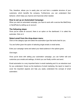This, therefore, allows you to easily plan out and form a scalable structure of your customers, which benefits the company. Furthermore, you can understand their behavior, which helps you improve and improvise when needed.

### **How to set up an Automated Campaign**

When you start an automated campaign, you have to work with a service like MailChimp or SendPulse by setting up an account.

### **The following steps:**

Once you've made an account, there is an option on the dashboard. It is called the automate. Click on it.

### **Select email from the drop-down menu**

Click on the category type and select the automation type that works best for you.

You are further given the option of selecting single emails or email series.

Enter your campaign name and select your ideal audience in the options given.

Click begin.

Once you're done with setting your automation campaign, you can further edit and customize your emails and settings, of which you can finally confirm and send.

Email automation is a very important factor in email marketing and it is an absolute must for you understand. Known as the backbone of email marketing, the report is meant to cover the important aspects and help you easily understand the concept of email automation.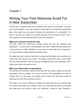# Writing Your First Welcome Email For A New Subscriber

The first time a customer deals with a business, they want to be impressed.Your goal as an email marketer is not only to impress a subscriber but to make their expectations grow. How exactly are you going to increase the expectations of a subscriber? You work on the way you present your company through your first welcome email. That is how important your first welcome Email to your first subscriber is.

### **Make your welcome worth the read**

The idea behind first impressions revolves around the way you captivate your subscribers. You don't want to sound generic; you want to make them feel welcome in a way that they can relate. Whether you use humor or some other form of enticement, you need to deliver a personalized first welcome email.

So always start your welcome email with a strong hook that grips your subscriber and makes them feel welcome and secure. This always makes them want to read further into your welcome Email, which can get your message across to your subscriber, which means they might come back for more.

### **Mark your Subscriber's expectations**

The moment your subscriber reads into less than 20%, you need to make sure that their expectations start to increase. If you want to build up their expectation, you need to impress them in a few words. You further need to show them what they should be expecting and when they're going to receive it.

The catch is, you need to fulfill your promises and make sure that your customer falls into a state of trust with your company. Think of your first welcome Email as a first date and make sure you're going to give your subscriber a reason to stay. Establish a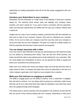relationship by creating expectations that will be the first proper engagement with your subscriber.

### **Introduce your Subscribers to your company**

Remember, the first impression is a major factor in the reflection of what your company stands for. The welcome Email should verify and highlight your company name, priorities, and what it stands for. If you want to build a connection with the subscriber, make sure that their requirements are fulfilled with the way your company reflects what it stands for.

Imagine this as a way of your company creating a personal bond with the subscriber as they have an idea of your company; however, they want to understand your company further. So be sure to make your company sound the way they want your company to sound and make sure you don't disappoint. The goal is to create an in-depth creation so that the subscriber also becomes a loyal customer and supporter.

### **You can always improvise with a video**

If you ever want to add a little flair to the way you demonstrate your first welcome emails, you can always try introducing short videos. They can last from 30-60 seconds, just make sure that the video is eye-catching and is worth watching for your subscriber. With the visual appeal and manipulation of sound, you are granted the ability to appeal and attract your subscribers into sticking around.

Make sure to be colorful and vibrant and always make sure that they feel that video is solely meant for them. A company that takes time out for its subscribers in the form of a video is always a good sign, and it might turn your prospect into a customer.

### **Make your first welcome as engaging as possible**

The ability to engage grants you the ability to impress. Once a subscriber is engaged, they will want to continue. You can always start by giving your subscriber a light survey that they can fill up to meet what items they might be interested in and when they would like to be updated through email messages.

This always gives a serious business look and appeals to the audience as they feel like they are secure if they continue dealing with your company. Depending on what you're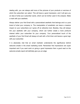dealing with, you can always add icons of the pictures of your products or services of which the subscriber can select. This will leave a good impression, and it will give you an idea of what your subscriber wants, which can be further used in the analysis. Make a mark with your aesthetic

Always deliver your first Email with a personalized aesthetic that belongs and is a pure brand of what your company is. The manipulation of anesthetic can leave a massive impact on your subscribers as it gives off an attractive look. Besides, they will always link your aesthetic with your company, which can further create a more profound interest within your subscriber for your company. Your personalized touch of the aesthetic of your first Email will always sit well with a first timer and leaves a good sign with your subscriber.

It is absolutely vital that an email marketer understands the significance behind welcome emails in the email marketing world. Remember first impressions are super important and if you want work on giving a good impression then a good read on the welcome emails report will definitely give you an edge.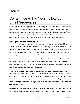# Content Ideas For Your Follow-up Email Sequences

Do you feel like you're trapped when it's time to figuring your content out? Well, look no further. When it comes to content, people often feel lost when the time comes to mixing up your content and trying to make it as dynamic as possible. Besides the use of email automation, you are going to need diverse content ideas that can be used as follow-up emails, and that is why this report exists, to provide you with ideas you can use.

### **Making use of Lead Nurturing Emails**

If you lack some vision, you can always try your luck with the use of Lead Nurturing Emails. When you first welcome a user to your company with a welcome email and a freebie, it nurtures your lead. You just have to make sure you fulfill your promise. The use of Lead Nurturing Emails is a good initiative for content as it keeps things interesting, and your prospect is more likely to turn into a customer.

Besides welcome emails, you can also introduce beneficial content such as helpful or educational content in Lead Nurturing Emails to guide users. Just make sure that the user understands that your company is ready to help whenever they need it. Just don't stretch your sales tactics, and you will be golden.

### **Turn Prospects into Customers with Conversion Email Sequences**

The idea behind the use of Conversion Email Sequences is to simply give off a reason as to why your customer should stick around. There is a time where your customer might finish in dealing with your company or product, which means they don't have to continue with your company. Now your job is to introduce content that gives them an offer they can't use.

For example, imagine a user who plays a game, and they run out of the currency of the game that can trigger email automation that can send that user some more currency.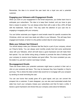Remember, the idea is to convert the user back into a loyal one and a potential customer.

### **Engaging your followers with Engagement Emails**

When you work on your engagement in the Email sequences, you further learn how to anticipate your subscribers. The idea is to keep them hooked, and you have to give them a reason to persist. You can always entice them with a sale or like a 30% off deal with the trademark, "ends soon." This may catch the attention of your user into re engaging or engaging with yourcompany.

You can further automate your triggers to send emails meant for specific occasions like Christmas, which can send new deals and offers to your followers. This will keep them engaged and hooked, of which it is the perfect content idea for email sequences.

### **Make your follower feel Onboard**

You should always make your followers feel like they're a part of your company, almost as if they're family. You can always send monthly emails that hold some sentimental value with your followers, which will both leave a good impression and will make them feel special. You can further string along a freebie to promote the idea of sticking with your company to receive more freebies and good offers. The more consistent you are, the better it is, just don't overdo it and keep it simple.

### **Re-engagement Emails**

There are times where your potential customers might leave a product in their cart or click on your products and leave. This may be because they have forgotten or they're just busy. This is where the ideal content idea would be to re-engage with your prospect by sending an email reminding the user.

You can use humor that usually gives off a good signal, and you can convert the prospect into a customer. If users disappear, you can also send automated emails that state how much your company misses your subscribers and that it's been a while. It leaves a good impression and shows that your company cares about its followers.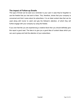### **The impact of Follow-up Emails**

This type of Email can be seen as a reminder to your user in case they've forgotten to use the freebie that you had sent to them. This, therefore, shows that your company is concerned and that it cares about its subscribers. It is an ideal content idea that can be used along with humor to catch and grip the follower's attention, of which they will further engage with your company by using the freebie.

If you ever feel like you are experiencing a creative block then you should definitely give this report a good read. The idea is to give you a good idea of content ideas which you can use to grasp and hold the attention of your subscribers.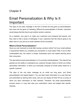# Email Personalization & Why Is It Important

The days of one basic message in the form of Email are long gone as personalization has come into the game of marketing. Without the personalization of Emails, customers would always feel like they're just another random customer.

As a marketer, your goal is to make your customers and prospects feel special, and they need to feel a sense of belonging. If your customers feel like they're going to be taken care of, your job as an email marketer will be successful.

### **What is Email Personalization?**

Have you ever received an email after buying a product online? Isn't your email address a requirement before you complete your transaction in most cases? Well, if you've often contemplated why, the reason is simple, businesses have now started learning about their consumers.

The idea behind email personalization is it to promote individualization. The internet has granted you the ability to understand your customer through metrics of which you further personalize information, of which you eventually compose an Email solely meant for a specific customer.

The days of the one basic message as an email are long gone, and Email personalization has helped topple it. You can learn basic information on a user that has just subscribed by learning their name, and you can always let them fill out a survey of which you learn information on their interests. Therefore, the email personalization process works in a way that uses your subscriber's name and targets their specific interests.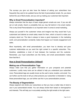The surveys you give out also have the feature of asking your subscribers how frequently they want to be updated hence the feel of personalized emails. So,you leave behind the use of Bulk emails, and you end up making your customers feel important.

### **Why is Email Personalization important?**

Always remember that the days of basic single generic emails are over. If you are still set on bulk emails, there's a probability that you may fall behind in the email market. This is why Email Personalization is so important when it comes to email marketing.

Always put yourself in the customers' shoes and imagine how they would feel if you customized and tailored an email solely meant for them, which is bound to make your company stand out. The idea is always to leave a good impression in the marketing world, and personalization constantly makes that happen as it boosts engagement and sales.

More importantly, with email personalization, you learn how to develop and grow customer relationships as you send the right content to a specific subscriber. This, therefore, establishes a level of trust between the business and the customer. Remember, your loyal subscribers are like family, and email personalization makes them feel like it.

### **How is Email Personalization Utilized?**

### **Making use of Personalization Tags**

Always make sure that you gather information on your prospects and potential customers. Luckily many tools can be utilized to help you understand your subscriber more. Personalized tags are usually known as the user's name, location, and email. You can further use the tools to tell you what products your subscriber is interested in. Using these personalized tags, you can further use this in your personalization process.

### **The Beauty of Segmentation**

Always segment and divide your subscribers so that you have a better idea of what to use in your personalized emails. You can always divide them based on demographics and interests. This will help you in accurately sending the right emails to the right users.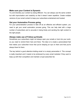### **Make sure your Content is Dynamic**

Try and diversify your content by being different. You can always use the same content but with improvisation and creativity so that it doesn't seem repetitive. Create multiple versions of your email content to keep your subscribers entertained and hooked.

### **Get your Automation Process going**

For your personalization process to take off as an effective and efficient system, you need to get your email automation process going. This can help deal with a large number of subscribers and is accurate in being timely and sending the right content to the right people.

### **Always make use of Follow-up Emails**

Sometimes your subscribers might not always open your emails or look into your work, so you need to remind them here and there. The idea is to create a personalized feel that makes your subscriber know that you're keeping an eye on them and that you're always there for them.

The key behind a good attention-holding email is to simply personalize it. This concept is really important and it needs to be embraced by every email marketer if they want to keep up with their competition and maintain a loyal subscriber list.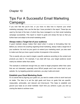# Tips For A Successful Email Marketing Campaign

If you ever feel like you're lost, or you have no idea how to improve your email marketing campaign, then use the few tips I have provided in the report. These tips are used by the best of the best, of which they have managed to run their email marketing campaign successfully. This report is meant to guide and simply the tips so that you further learn and adapt to the email marketing world.

### **Always make a Target list of your audience**

A good marketer always makes their stand when it comes to formulating their list. Before you venture into anything regarding Email marketing, always make a target list of your audience. As much as your goal is to extend your marketing reach, you also want to make sure that you have a good number of prospects in the outcome.

This is exactly why you need to target a specific audience according to the content and products you deal in. For example, if you deal with toys, your target audience would mainly be children rather than adults.

The example is evidenced enough that you need to target prospects rather than users that are not interested, especially since 80%of people won't ever come back to your website. So, by targeting potential customers, you play it safe and smart.

### **Establish your Email Marketing Goals**

It's no secret that by figuring your goals out, you tend to create a drive to work hard and do better. The idea is to set the right goals and focus on goals that are specific, measurable, achievable, and relevant and time-bound. This helps to establish and ground your base as an email marketer. Each time you achieve a goal, you end up craving the desire to achieve more.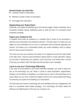### **Normal Goals can start like:**

- Increase number of subscribers
- Maintain a certain number of subscribers
- Re-engage with subscribers

### **Segmenting your Subscribers**

Eventually, your goals will gradually grow and become bigger. Always remember that a successful marketer always establishes goals to walk the path of a successful email marketing campaign.

#### **Figure your Audience Out**

A marketer that knows his audience is a marketer that is bound to be successful in attaining email subscribers and potential customers. The basic idea is to make sure you gather as much information as you can on a subscriber and his interests regarding your product. This allows you to personalize further your email marketing, which is always bound to leave a good impression.

The more you know your audience, the easier it is to segment and send the right emails to the right users. Leaving a good impression always leads to a loyal subscriber. Always try your best in researching your audience, and it will prove to be fruitful when it comes to the way you market, which will help boost the success of your campaign.

### **Learn to use your Technology Effectively**

If you want to be successful in your email marketing campaign, you need to keep your eye on the technology you use. When it comes to email automation, segmentation, analytics, and workflows or templates, you simply have to work on the technology you're using. Make sure you have a balanced budget and that you're using suitable technology for achieving your goals and exceeding your expectations.

The best tools and modes of technology will most definitely boost your engagement and lead to a successful email market campaign. Your technology will further define the efficiency and effectiveness of the way your company runs.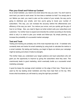### **Plan your Email and Follow-up Content**

As an email marketer, you need to be smart about the way you work. You don't want to work hard; you want to work smart. So how does a marketer do that? You simply plan it out. Before you start, you need to plan out the content of your emails, the way you're going to distribute your emails, and how you're going to boost your number of subscribers. This way, you can increase the accuracy behind the effectiveness and efficiency of the way you work. You reduce your errors, and you quickly get the grip of how to run things. Also, you need to figure out what content suits your subscribers and customers. You further have to expand and diversify the content according to the trends, which is why it is smart to plan your emails and follow-ups. By simply planning, you increase the probability of a successful market campaign.

### **Test and Track**

Testing and tracking are probably one of the mostimportant tips of all. A marketer who constantly tests and tracks his email marketing by using tools to calculate the metrics is a smart marketer. By testing and tracking, you begin to figure out where your campaign might be lacking and where it holds its strengths.

This further helps you understand your target audience and loyal subscribers who will grant you the opportunity to improve by giving the subscribers what they want. This unanimously leads to good marketing, which eventually builds up a successful email marketing campaign.

A good tip keeps the average email marketer on the edge of their toes. These tips are used by the top leading email marketers and they have kept them at the top. Who knows what boundaries you will break by using the right tips provided?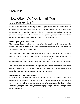# How Often Do You Email Your Subscriber List?

It's no secret that Email marketing is pretty unpredictable, and you sometimes get confused with how frequently you should Email your subscriber list. People often confuse themselves with the frequency, which is why I'm going to show how you can set yourself on the right track. All you require is some guidance, and you will most likely be on your way to effectively deal with the frequency of emailing your list.

### **Working on your Frequency**

The best way of dealing with the frequency of sending emails is to slowly and gradually increase the number of Emails you send. You need to pay attention to each subscriber and see how they react to your emails.

The idea is not to bombard a subscriber with emails out of the blue as this may annoy them. It would be preferred if you read into the subscriber and gradually increase the number of emails sent if they find your emails interesting. You don't want to look like a spammer or an over-sharer, which is why you need to deal with it smartly and effectively.

The best way to avoid oversharing is to segment your subscribers and form tailor-made emails to every specific subscriber. This way, you meet the right requirements of a subscriber, and you manage to avoid the image of a spammer.

### **Always look at the Competition**

It's always smart to keep an eye on the competition or the leaders in the email marketing world. The idea is to learn and improvise the frequency and the way you deliver your mail. It is a sound and simple way of understanding the Email market. Therefore, you figure out the way you should engage with your audience, and you keep up with the trends.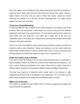Since the leaders and competitors of the email market have done their homework, it would be wise to follow when and how many times they deliver their emails. There's a reason they're at the top, and you need to follow their tactics, except you should improvise and change it up to the way you feel comfortable with. You might just get golden if you play your cards right.

### **Track your Email Marketing**

A smart and effective way to determine the correct frequency is by taking a look at the numbers. With the improvement in technology, you can find many tools and software designed to keep track of your email metrics. You just need to take the time to figure out what emails work and what don't. You further get a better idea of the way your subscribers react to the emails sent. Embrace and understand the analysis behind what frequency suits each subscriber.

This is one of the most effective ways of determining the perfect number of emails that should be sent to each subscriber. Testing and tracking is one the major backbones behind email marketing which is why you should make use of it if you're concerned with the right frequency of emails that needs to be sent to your subscriber's list

### **Know the nature of your Emails**

If you want to know the frequency of how many emails should be sent to a subscriber, it would probably be best if you reflect the context of your emails with the frequency. You have surveys, follow-ups, newsletters, and various other forms of emails. Each has a different nature, and they are all required at different times and different frequencies.

The ideal way would be to determine which emails need to be delivered in high frequencies and which need to be required in low frequencies. You can further use the email metrics to determine the frequency of the different types of emails.

### **Make use of Surveys**

This method is probably the best method when it comes to engaging and meeting the requirements of the subscriber.